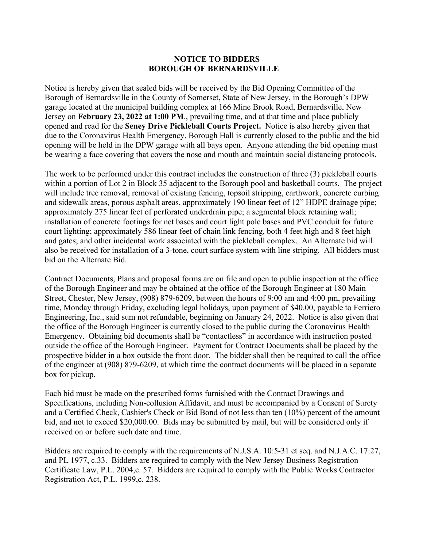## **NOTICE TO BIDDERS BOROUGH OF BERNARDSVILLE**

Notice is hereby given that sealed bids will be received by the Bid Opening Committee of the Borough of Bernardsville in the County of Somerset, State of New Jersey, in the Borough's DPW garage located at the municipal building complex at 166 Mine Brook Road, Bernardsville, New Jersey on **February 23, 2022 at 1:00 PM**., prevailing time, and at that time and place publicly opened and read for the **Seney Drive Pickleball Courts Project.** Notice is also hereby given that due to the Coronavirus Health Emergency, Borough Hall is currently closed to the public and the bid opening will be held in the DPW garage with all bays open. Anyone attending the bid opening must be wearing a face covering that covers the nose and mouth and maintain social distancing protocols**.**

The work to be performed under this contract includes the construction of three (3) pickleball courts within a portion of Lot 2 in Block 35 adjacent to the Borough pool and basketball courts. The project will include tree removal, removal of existing fencing, topsoil stripping, earthwork, concrete curbing and sidewalk areas, porous asphalt areas, approximately 190 linear feet of 12" HDPE drainage pipe; approximately 275 linear feet of perforated underdrain pipe; a segmental block retaining wall; installation of concrete footings for net bases and court light pole bases and PVC conduit for future court lighting; approximately 586 linear feet of chain link fencing, both 4 feet high and 8 feet high and gates; and other incidental work associated with the pickleball complex. An Alternate bid will also be received for installation of a 3-tone, court surface system with line striping. All bidders must bid on the Alternate Bid.

Contract Documents, Plans and proposal forms are on file and open to public inspection at the office of the Borough Engineer and may be obtained at the office of the Borough Engineer at 180 Main Street, Chester, New Jersey, (908) 879-6209, between the hours of 9:00 am and 4:00 pm, prevailing time, Monday through Friday, excluding legal holidays, upon payment of \$40.00, payable to Ferriero Engineering, Inc., said sum not refundable, beginning on January 24, 2022. Notice is also given that the office of the Borough Engineer is currently closed to the public during the Coronavirus Health Emergency. Obtaining bid documents shall be "contactless" in accordance with instruction posted outside the office of the Borough Engineer. Payment for Contract Documents shall be placed by the prospective bidder in a box outside the front door. The bidder shall then be required to call the office of the engineer at (908) 879-6209, at which time the contract documents will be placed in a separate box for pickup.

Each bid must be made on the prescribed forms furnished with the Contract Drawings and Specifications, including Non-collusion Affidavit, and must be accompanied by a Consent of Surety and a Certified Check, Cashier's Check or Bid Bond of not less than ten (10%) percent of the amount bid, and not to exceed \$20,000.00. Bids may be submitted by mail, but will be considered only if received on or before such date and time.

Bidders are required to comply with the requirements of N.J.S.A. 10:5-31 et seq. and N.J.A.C. 17:27, and PL 1977, c.33. Bidders are required to comply with the New Jersey Business Registration Certificate Law, P.L. 2004,c. 57. Bidders are required to comply with the Public Works Contractor Registration Act, P.L. 1999,c. 238.